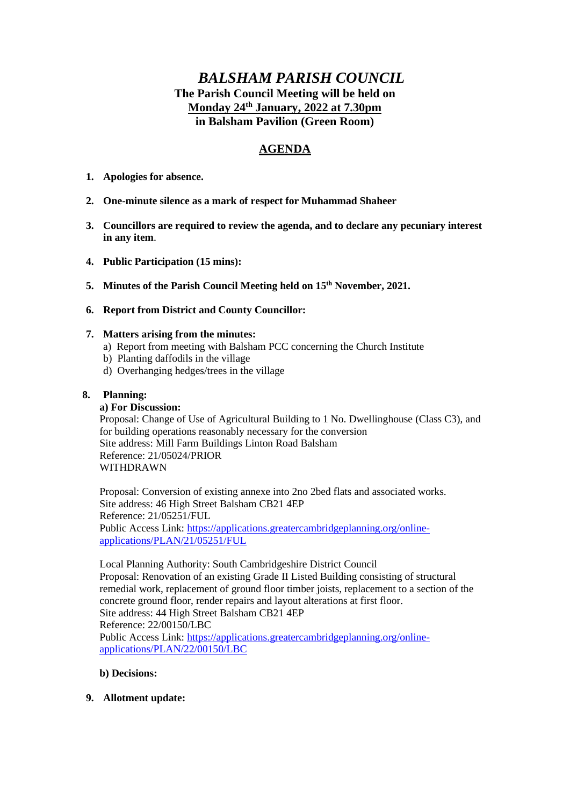# *BALSHAM PARISH COUNCIL* **The Parish Council Meeting will be held on Monday 24th January, 2022 at 7.30pm in Balsham Pavilion (Green Room)**

# **AGENDA**

- **1. Apologies for absence.**
- **2. One-minute silence as a mark of respect for Muhammad Shaheer**
- **3. Councillors are required to review the agenda, and to declare any pecuniary interest in any item**.
- **4. Public Participation (15 mins):**
- **5. Minutes of the Parish Council Meeting held on 15th November, 2021.**
- **6. Report from District and County Councillor:**

#### **7. Matters arising from the minutes:**

- a) Report from meeting with Balsham PCC concerning the Church Institute
- b) Planting daffodils in the village
- d) Overhanging hedges/trees in the village

## **8. Planning:**

#### **a) For Discussion:**

Proposal: Change of Use of Agricultural Building to 1 No. Dwellinghouse (Class C3), and for building operations reasonably necessary for the conversion Site address: Mill Farm Buildings Linton Road Balsham Reference: 21/05024/PRIOR WITHDRAWN

Proposal: Conversion of existing annexe into 2no 2bed flats and associated works. Site address: 46 High Street Balsham CB21 4EP Reference: 21/05251/FUL Public Access Link: [https://applications.greatercambridgeplanning.org/online](https://applications.greatercambridgeplanning.org/online-applications/PLAN/21/05251/FUL)[applications/PLAN/21/05251/FUL](https://applications.greatercambridgeplanning.org/online-applications/PLAN/21/05251/FUL)

Local Planning Authority: South Cambridgeshire District Council Proposal: Renovation of an existing Grade II Listed Building consisting of structural remedial work, replacement of ground floor timber joists, replacement to a section of the concrete ground floor, render repairs and layout alterations at first floor. Site address: 44 High Street Balsham CB21 4EP Reference: 22/00150/LBC Public Access Link: [https://applications.greatercambridgeplanning.org/online](https://applications.greatercambridgeplanning.org/online-applications/PLAN/22/00150/LBC)[applications/PLAN/22/00150/LBC](https://applications.greatercambridgeplanning.org/online-applications/PLAN/22/00150/LBC)

#### **b) Decisions:**

**9. Allotment update:**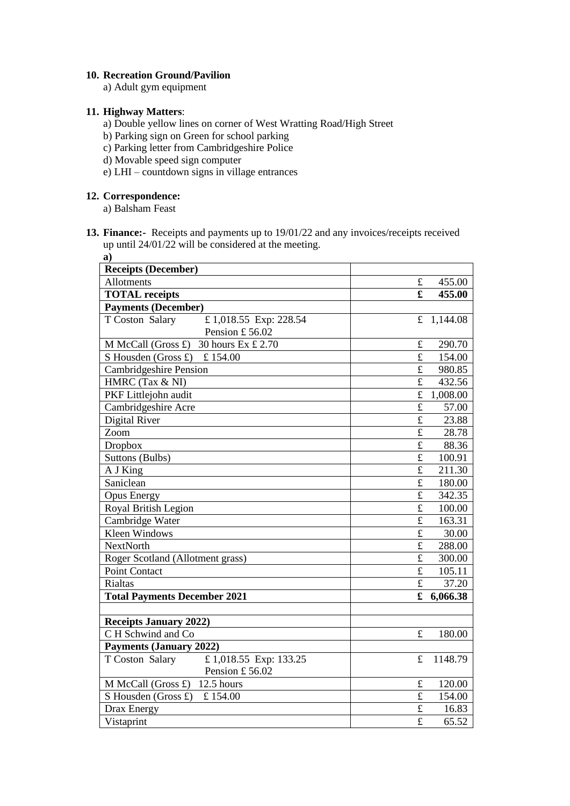#### **10. Recreation Ground/Pavilion**

a) Adult gym equipment

# **11. Highway Matters**:

- a) Double yellow lines on corner of West Wratting Road/High Street
- b) Parking sign on Green for school parking
- c) Parking letter from Cambridgeshire Police
- d) Movable speed sign computer
- e) LHI countdown signs in village entrances

#### **12. Correspondence:**

a) Balsham Feast

**13. Finance:-** Receipts and payments up to 19/01/22 and any invoices/receipts received up until 24/01/22 will be considered at the meeting.

| a)                                       |                         |          |
|------------------------------------------|-------------------------|----------|
| <b>Receipts (December)</b>               |                         |          |
| Allotments                               | £                       | 455.00   |
| <b>TOTAL</b> receipts                    | £                       | 455.00   |
| <b>Payments (December)</b>               |                         |          |
| T Coston Salary<br>£1,018.55 Exp: 228.54 | f                       | 1,144.08 |
| Pension £56.02                           |                         |          |
| 30 hours Ex £ 2.70<br>M McCall (Gross £) | £                       | 290.70   |
| S Housden (Gross £)<br>£154.00           | $\pounds$               | 154.00   |
| Cambridgeshire Pension                   | $\pounds$               | 980.85   |
| HMRC (Tax & NI)                          | $\pounds$               | 432.56   |
| PKF Littlejohn audit                     | $\mathbf f$             | 1,008.00 |
| Cambridgeshire Acre                      | $\overline{\mathbf{f}}$ | 57.00    |
| Digital River                            | $\mathbf f$             | 23.88    |
| Zoom                                     | £                       | 28.78    |
| <b>Dropbox</b>                           | $\mathbf f$             | 88.36    |
| Suttons (Bulbs)                          | $\pounds$               | 100.91   |
| A J King                                 | $\mathbf f$             | 211.30   |
| Saniclean                                | $\mathbf f$             | 180.00   |
| <b>Opus Energy</b>                       | $\mathbf f$             | 342.35   |
| Royal British Legion                     | $\mathbf f$             | 100.00   |
| Cambridge Water                          | $\pounds$               | 163.31   |
| <b>Kleen Windows</b>                     | $\mathbf f$             | 30.00    |
| <b>NextNorth</b>                         | $\mathbf f$             | 288.00   |
| Roger Scotland (Allotment grass)         | $\overline{\mathbf{f}}$ | 300.00   |
| <b>Point Contact</b>                     | £                       | 105.11   |
| Rialtas                                  | £                       | 37.20    |
| <b>Total Payments December 2021</b>      | £                       | 6,066.38 |
|                                          |                         |          |
| <b>Receipts January 2022)</b>            |                         |          |
| C H Schwind and Co                       | £                       | 180.00   |
| <b>Payments (January 2022)</b>           |                         |          |
| £1,018.55 Exp: 133.25<br>T Coston Salary | £                       | 1148.79  |
| Pension £56.02                           |                         |          |
| M McCall (Gross £) 12.5 hours            | $\pounds$               | 120.00   |
| S Housden (Gross £)<br>£154.00           | £                       | 154.00   |
| Drax Energy                              | $\pounds$               | 16.83    |
| Vistaprint                               | £                       | 65.52    |